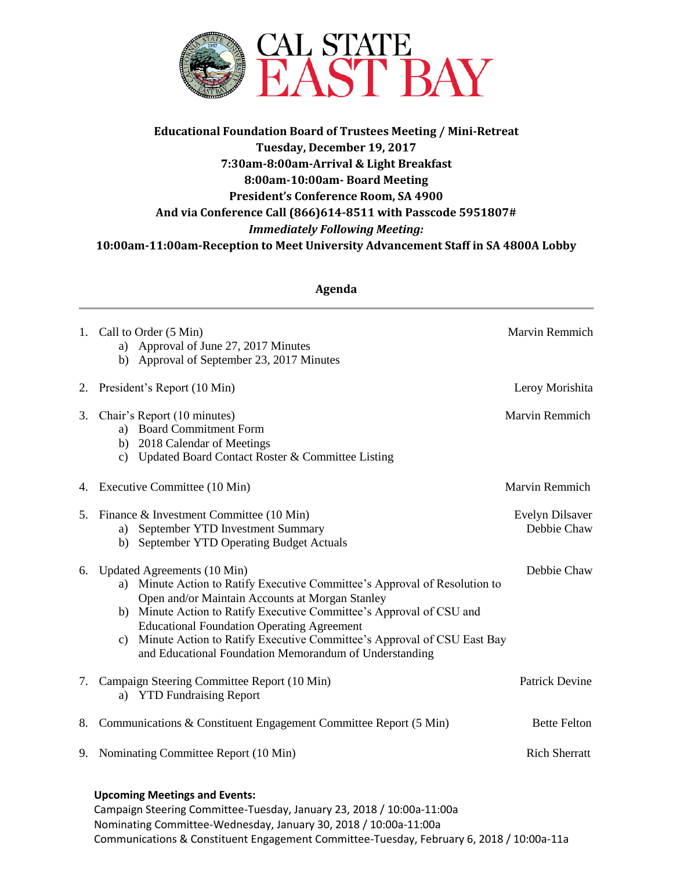

## **Educational Foundation Board of Trustees Meeting / Mini-Retreat Tuesday, December 19, 2017 7:30am-8:00am-Arrival & Light Breakfast 8:00am-10:00am- Board Meeting President's Conference Room, SA 4900 And via Conference Call (866)614-8511 with Passcode 5951807#** *Immediately Following Meeting:*  **10:00am-11:00am-Reception to Meet University Advancement Staff in SA 4800A Lobby**

| Agenda                               |                                                                                                                                                                                                                                                                                                                                                                                                                                           |                                |
|--------------------------------------|-------------------------------------------------------------------------------------------------------------------------------------------------------------------------------------------------------------------------------------------------------------------------------------------------------------------------------------------------------------------------------------------------------------------------------------------|--------------------------------|
| 1.                                   | Call to Order (5 Min)<br>Approval of June 27, 2017 Minutes<br>a)<br>Approval of September 23, 2017 Minutes<br>b)                                                                                                                                                                                                                                                                                                                          | Marvin Remmich                 |
| 2.                                   | President's Report (10 Min)                                                                                                                                                                                                                                                                                                                                                                                                               | Leroy Morishita                |
| 3.                                   | Chair's Report (10 minutes)<br>a) Board Commitment Form<br>b) 2018 Calendar of Meetings<br>Updated Board Contact Roster & Committee Listing<br>C)                                                                                                                                                                                                                                                                                         | Marvin Remmich                 |
|                                      | 4. Executive Committee (10 Min)                                                                                                                                                                                                                                                                                                                                                                                                           | Marvin Remmich                 |
| 5.                                   | Finance & Investment Committee (10 Min)<br>September YTD Investment Summary<br>a)<br>September YTD Operating Budget Actuals<br>b)                                                                                                                                                                                                                                                                                                         | Evelyn Dilsaver<br>Debbie Chaw |
| 6.                                   | Updated Agreements (10 Min)<br>Minute Action to Ratify Executive Committee's Approval of Resolution to<br>a)<br>Open and/or Maintain Accounts at Morgan Stanley<br>Minute Action to Ratify Executive Committee's Approval of CSU and<br>b)<br><b>Educational Foundation Operating Agreement</b><br>Minute Action to Ratify Executive Committee's Approval of CSU East Bay<br>c)<br>and Educational Foundation Memorandum of Understanding | Debbie Chaw                    |
| 7.                                   | Campaign Steering Committee Report (10 Min)<br><b>YTD Fundraising Report</b><br>a)                                                                                                                                                                                                                                                                                                                                                        | <b>Patrick Devine</b>          |
| 8.                                   | Communications & Constituent Engagement Committee Report (5 Min)                                                                                                                                                                                                                                                                                                                                                                          | <b>Bette Felton</b>            |
| 9.                                   | Nominating Committee Report (10 Min)                                                                                                                                                                                                                                                                                                                                                                                                      | <b>Rich Sherratt</b>           |
| <b>Upcoming Meetings and Events:</b> |                                                                                                                                                                                                                                                                                                                                                                                                                                           |                                |

Campaign Steering Committee-Tuesday, January 23, 2018 / 10:00a-11:00a Nominating Committee-Wednesday, January 30, 2018 / 10:00a-11:00a Communications & Constituent Engagement Committee-Tuesday, February 6, 2018 / 10:00a-11a